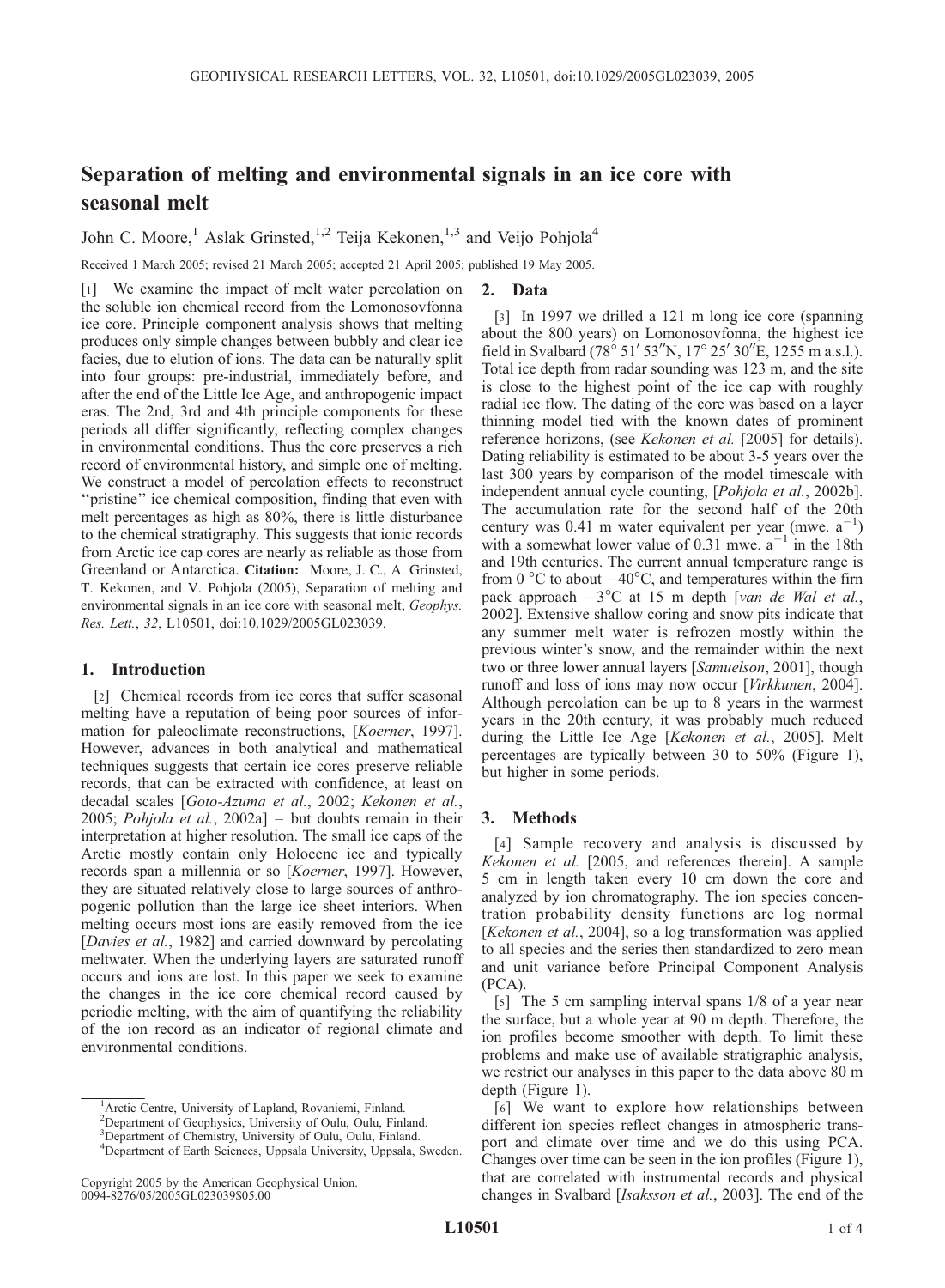# Separation of melting and environmental signals in an ice core with seasonal melt

John C. Moore,<sup>1</sup> Aslak Grinsted,<sup>1,2</sup> Teija Kekonen,<sup>1,3</sup> and Veijo Pohjola<sup>4</sup>

Received 1 March 2005; revised 21 March 2005; accepted 21 April 2005; published 19 May 2005.

[1] We examine the impact of melt water percolation on the soluble ion chemical record from the Lomonosovfonna ice core. Principle component analysis shows that melting produces only simple changes between bubbly and clear ice facies, due to elution of ions. The data can be naturally split into four groups: pre-industrial, immediately before, and after the end of the Little Ice Age, and anthropogenic impact eras. The 2nd, 3rd and 4th principle components for these periods all differ significantly, reflecting complex changes in environmental conditions. Thus the core preserves a rich record of environmental history, and simple one of melting. We construct a model of percolation effects to reconstruct "pristine" ice chemical composition, finding that even with melt percentages as high as 80%, there is little disturbance to the chemical stratigraphy. This suggests that ionic records from Arctic ice cap cores are nearly as reliable as those from Greenland or Antarctica. Citation: Moore, J. C., A. Grinsted, T. Kekonen, and V. Pohjola (2005), Separation of melting and environmental signals in an ice core with seasonal melt, Geophys. Res. Lett., 32, L10501, doi:10.1029/2005GL023039.

## 1. Introduction

[2] Chemical records from ice cores that suffer seasonal melting have a reputation of being poor sources of information for paleoclimate reconstructions, [Koerner, 1997]. However, advances in both analytical and mathematical techniques suggests that certain ice cores preserve reliable records, that can be extracted with confidence, at least on decadal scales [Goto-Azuma et al., 2002; Kekonen et al., 2005; Pohjola et al.,  $2002a$ ] – but doubts remain in their interpretation at higher resolution. The small ice caps of the Arctic mostly contain only Holocene ice and typically records span a millennia or so [Koerner, 1997]. However, they are situated relatively close to large sources of anthropogenic pollution than the large ice sheet interiors. When melting occurs most ions are easily removed from the ice [Davies et al., 1982] and carried downward by percolating meltwater. When the underlying layers are saturated runoff occurs and ions are lost. In this paper we seek to examine the changes in the ice core chemical record caused by periodic melting, with the aim of quantifying the reliability of the ion record as an indicator of regional climate and environmental conditions.

# 2. Data

[3] In 1997 we drilled a 121 m long ice core (spanning about the 800 years) on Lomonosovfonna, the highest ice field in Svalbard (78° 51' 53"N, 17° 25' 30"E, 1255 m a.s.l.). Total ice depth from radar sounding was 123 m, and the site is close to the highest point of the ice cap with roughly radial ice flow. The dating of the core was based on a layer thinning model tied with the known dates of prominent reference horizons, (see Kekonen et al. [2005] for details). Dating reliability is estimated to be about 3-5 years over the last 300 years by comparison of the model timescale with independent annual cycle counting, [Pohjola et al., 2002b]. The accumulation rate for the second half of the 20th century was 0.41 m water equivalent per year (mwe.  $a^{-1}$ ) with a somewhat lower value of 0.31 mwe.  $a^{-1}$  in the 18th and 19th centuries. The current annual temperature range is from 0  $\mathrm{^{\circ}C}$  to about  $-40\mathrm{^{\circ}C}$ , and temperatures within the firn pack approach  $-3$ °C at 15 m depth [van de Wal et al., 2002]. Extensive shallow coring and snow pits indicate that any summer melt water is refrozen mostly within the previous winter's snow, and the remainder within the next two or three lower annual layers [Samuelson, 2001], though runoff and loss of ions may now occur [Virkkunen, 2004]. Although percolation can be up to 8 years in the warmest years in the 20th century, it was probably much reduced during the Little Ice Age [Kekonen et al., 2005]. Melt percentages are typically between 30 to 50% (Figure 1), but higher in some periods.

### 3. Methods

[4] Sample recovery and analysis is discussed by Kekonen et al. [2005, and references therein]. A sample 5 cm in length taken every 10 cm down the core and analyzed by ion chromatography. The ion species concentration probability density functions are log normal [Kekonen et al., 2004], so a log transformation was applied to all species and the series then standardized to zero mean and unit variance before Principal Component Analysis (PCA).

[5] The 5 cm sampling interval spans 1/8 of a year near the surface, but a whole year at 90 m depth. Therefore, the ion profiles become smoother with depth. To limit these problems and make use of available stratigraphic analysis, we restrict our analyses in this paper to the data above 80 m depth (Figure 1).

[6] We want to explore how relationships between different ion species reflect changes in atmospheric transport and climate over time and we do this using PCA. Changes over time can be seen in the ion profiles (Figure 1), that are correlated with instrumental records and physical changes in Svalbard [Isaksson et al., 2003]. The end of the

<sup>&</sup>lt;sup>1</sup> Arctic Centre, University of Lapland, Rovaniemi, Finland.

<sup>&</sup>lt;sup>2</sup>Department of Geophysics, University of Oulu, Oulu, Finland.

<sup>&</sup>lt;sup>3</sup>Department of Chemistry, University of Oulu, Oulu, Finland.

<sup>&</sup>lt;sup>4</sup>Department of Earth Sciences, Uppsala University, Uppsala, Sweden.

Copyright 2005 by the American Geophysical Union. 0094-8276/05/2005GL023039\$05.00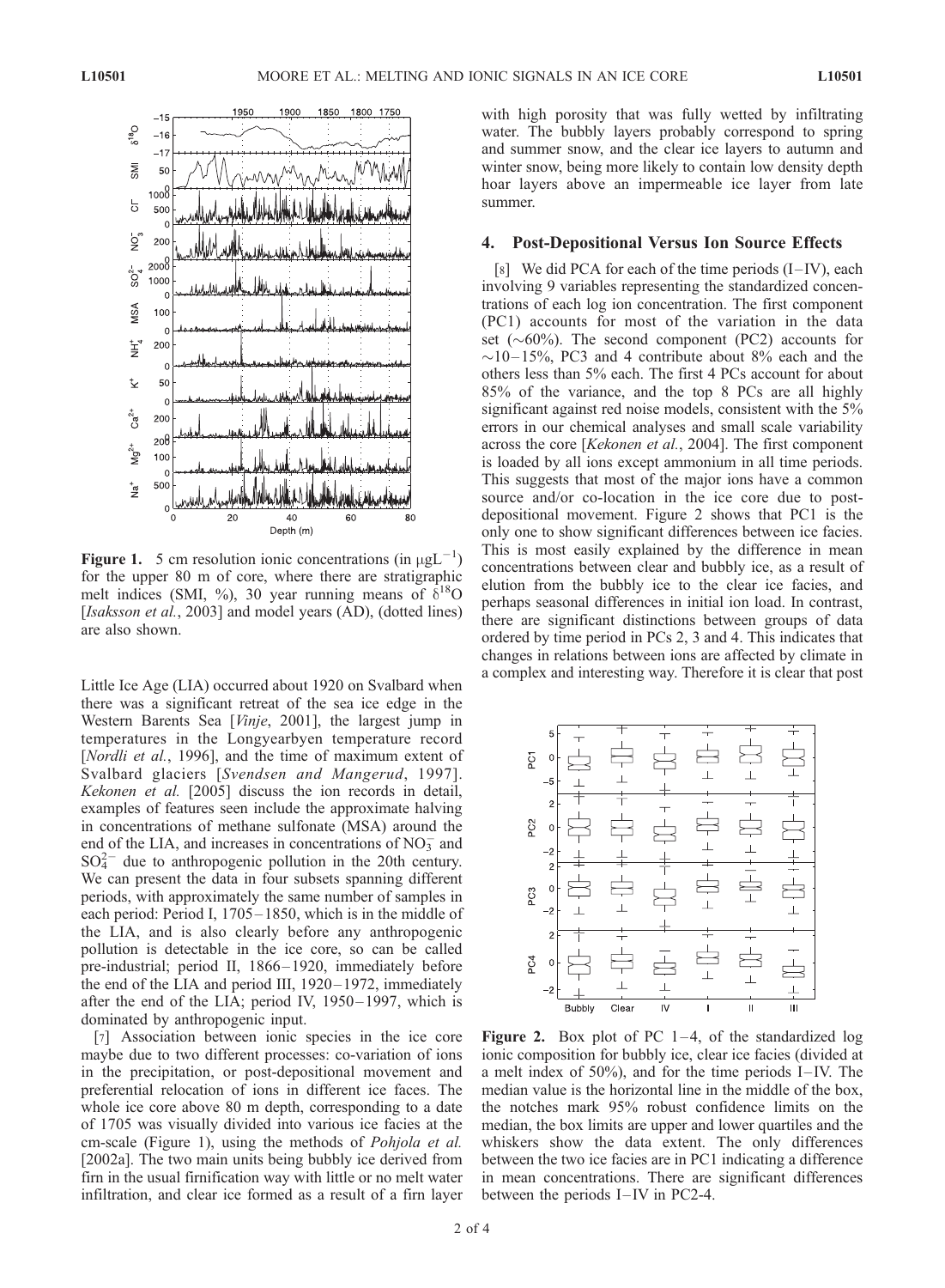

**Figure 1.** 5 cm resolution ionic concentrations (in  $\mu gL^{-1}$ ) for the upper 80 m of core, where there are stratigraphic melt indices (SMI, %), 30 year running means of  $\delta^{18}O$ [Isaksson et al., 2003] and model years (AD), (dotted lines) are also shown.

Little Ice Age (LIA) occurred about 1920 on Svalbard when there was a significant retreat of the sea ice edge in the Western Barents Sea [Vinje, 2001], the largest jump in temperatures in the Longyearbyen temperature record [Nordli et al., 1996], and the time of maximum extent of Svalbard glaciers [Svendsen and Mangerud, 1997]. Kekonen et al. [2005] discuss the ion records in detail, examples of features seen include the approximate halving in concentrations of methane sulfonate (MSA) around the end of the LIA, and increases in concentrations of  $NO<sub>3</sub><sup>-</sup>$  and  $SO_4^{2-}$  due to anthropogenic pollution in the 20th century. We can present the data in four subsets spanning different periods, with approximately the same number of samples in each period: Period I, 1705 – 1850, which is in the middle of the LIA, and is also clearly before any anthropogenic pollution is detectable in the ice core, so can be called pre-industrial; period II, 1866– 1920, immediately before the end of the LIA and period III, 1920-1972, immediately after the end of the LIA; period IV, 1950-1997, which is dominated by anthropogenic input.

[7] Association between ionic species in the ice core maybe due to two different processes: co-variation of ions in the precipitation, or post-depositional movement and preferential relocation of ions in different ice faces. The whole ice core above 80 m depth, corresponding to a date of 1705 was visually divided into various ice facies at the cm-scale (Figure 1), using the methods of Pohjola et al. [2002a]. The two main units being bubbly ice derived from firn in the usual firnification way with little or no melt water infiltration, and clear ice formed as a result of a firn layer with high porosity that was fully wetted by infiltrating water. The bubbly layers probably correspond to spring and summer snow, and the clear ice layers to autumn and winter snow, being more likely to contain low density depth hoar layers above an impermeable ice layer from late summer.

## 4. Post-Depositional Versus Ion Source Effects

[8] We did PCA for each of the time periods  $(I - IV)$ , each involving 9 variables representing the standardized concentrations of each log ion concentration. The first component (PC1) accounts for most of the variation in the data set  $({\sim}60\%)$ . The second component (PC2) accounts for  $\sim$ 10–15%, PC3 and 4 contribute about 8% each and the others less than 5% each. The first 4 PCs account for about 85% of the variance, and the top 8 PCs are all highly significant against red noise models, consistent with the 5% errors in our chemical analyses and small scale variability across the core [Kekonen et al., 2004]. The first component is loaded by all ions except ammonium in all time periods. This suggests that most of the major ions have a common source and/or co-location in the ice core due to postdepositional movement. Figure 2 shows that PC1 is the only one to show significant differences between ice facies. This is most easily explained by the difference in mean concentrations between clear and bubbly ice, as a result of elution from the bubbly ice to the clear ice facies, and perhaps seasonal differences in initial ion load. In contrast, there are significant distinctions between groups of data ordered by time period in PCs 2, 3 and 4. This indicates that changes in relations between ions are affected by climate in a complex and interesting way. Therefore it is clear that post



Figure 2. Box plot of PC  $1-4$ , of the standardized log ionic composition for bubbly ice, clear ice facies (divided at a melt index of  $50\%$ ), and for the time periods I–IV. The median value is the horizontal line in the middle of the box, the notches mark 95% robust confidence limits on the median, the box limits are upper and lower quartiles and the whiskers show the data extent. The only differences between the two ice facies are in PC1 indicating a difference in mean concentrations. There are significant differences between the periods  $I$ –IV in PC2-4.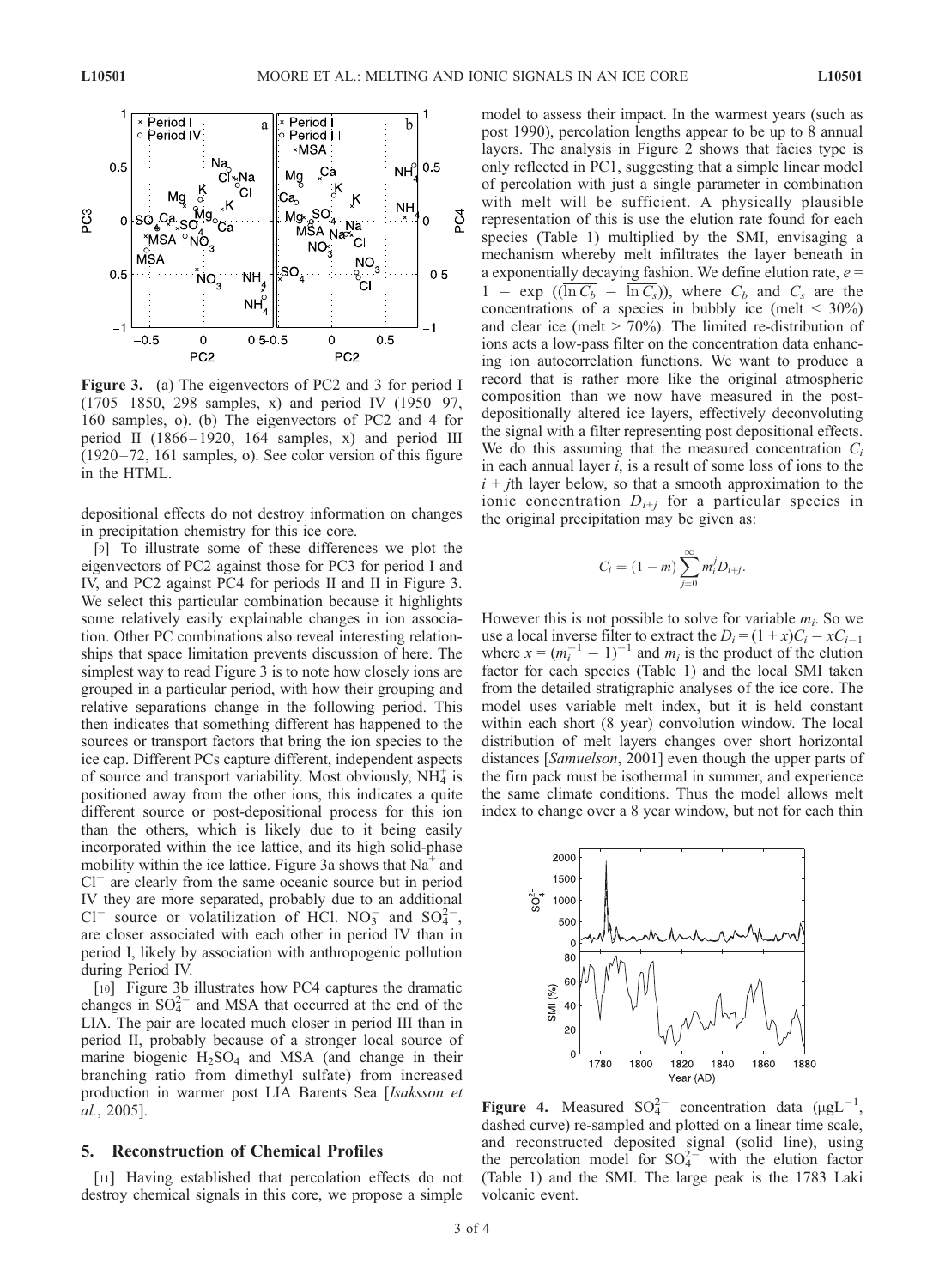

Figure 3. (a) The eigenvectors of PC2 and 3 for period I  $(1705 - 1850, 298$  samples, x) and period IV  $(1950 - 97, 1950)$ 160 samples, o). (b) The eigenvectors of PC2 and 4 for period II (1866-1920, 164 samples, x) and period III (1920 – 72, 161 samples, o). See color version of this figure in the HTML.

depositional effects do not destroy information on changes in precipitation chemistry for this ice core.

[9] To illustrate some of these differences we plot the eigenvectors of PC2 against those for PC3 for period I and IV, and PC2 against PC4 for periods II and II in Figure 3. We select this particular combination because it highlights some relatively easily explainable changes in ion association. Other PC combinations also reveal interesting relationships that space limitation prevents discussion of here. The simplest way to read Figure 3 is to note how closely ions are grouped in a particular period, with how their grouping and relative separations change in the following period. This then indicates that something different has happened to the sources or transport factors that bring the ion species to the ice cap. Different PCs capture different, independent aspects of source and transport variability. Most obviously,  $\overrightarrow{NH_4}$  is positioned away from the other ions, this indicates a quite different source or post-depositional process for this ion than the others, which is likely due to it being easily incorporated within the ice lattice, and its high solid-phase mobility within the ice lattice. Figure 3a shows that  $Na<sup>+</sup>$  and Cl<sup>-</sup> are clearly from the same oceanic source but in period IV they are more separated, probably due to an additional Cl<sup>-</sup> source or volatilization of HCl. NO<sub>3</sub> and SO<sub>4</sub><sup>2</sup>-, are closer associated with each other in period IV than in period I, likely by association with anthropogenic pollution during Period IV.

[10] Figure 3b illustrates how PC4 captures the dramatic changes in  $SO_4^{2-}$  and MSA that occurred at the end of the LIA. The pair are located much closer in period III than in period II, probably because of a stronger local source of marine biogenic  $H_2SO_4$  and MSA (and change in their branching ratio from dimethyl sulfate) from increased production in warmer post LIA Barents Sea [Isaksson et al., 2005].

# 5. Reconstruction of Chemical Profiles

[11] Having established that percolation effects do not destroy chemical signals in this core, we propose a simple

model to assess their impact. In the warmest years (such as post 1990), percolation lengths appear to be up to 8 annual layers. The analysis in Figure 2 shows that facies type is only reflected in PC1, suggesting that a simple linear model of percolation with just a single parameter in combination with melt will be sufficient. A physically plausible representation of this is use the elution rate found for each species (Table 1) multiplied by the SMI, envisaging a mechanism whereby melt infiltrates the layer beneath in a exponentially decaying fashion. We define elution rate,  $e =$  $1 - \exp ((\ln C_b - \ln C_s))$ , where  $C_b$  and  $C_s$  are the concentrations of a species in bubbly ice (melt  $\leq 30\%$ ) and clear ice (melt  $> 70\%$ ). The limited re-distribution of ions acts a low-pass filter on the concentration data enhancing ion autocorrelation functions. We want to produce a record that is rather more like the original atmospheric composition than we now have measured in the postdepositionally altered ice layers, effectively deconvoluting the signal with a filter representing post depositional effects. We do this assuming that the measured concentration  $C_i$ in each annual layer  $i$ , is a result of some loss of ions to the  $i + j$ th layer below, so that a smooth approximation to the ionic concentration  $D_{i+j}$  for a particular species in the original precipitation may be given as:

$$
C_i = (1 - m) \sum_{j=0}^{\infty} m_i^j D_{i+j}.
$$

However this is not possible to solve for variable  $m_i$ . So we use a local inverse filter to extract the  $D_i = (1 + x)C_i - xC_{i-1}$ where  $x = (m_i^{-1} - 1)^{-1}$  and  $m_i$  is the product of the elution factor for each species (Table 1) and the local SMI taken from the detailed stratigraphic analyses of the ice core. The model uses variable melt index, but it is held constant within each short (8 year) convolution window. The local distribution of melt layers changes over short horizontal distances [Samuelson, 2001] even though the upper parts of the firn pack must be isothermal in summer, and experience the same climate conditions. Thus the model allows melt index to change over a 8 year window, but not for each thin



Figure 4. Measured  $SO_4^{2-}$  concentration data ( $\mu g L^{-1}$ , dashed curve) re-sampled and plotted on a linear time scale, and reconstructed deposited signal (solid line), using the percolation model for  $SO_4^{2-}$  with the elution factor (Table 1) and the SMI. The large peak is the 1783 Laki volcanic event.